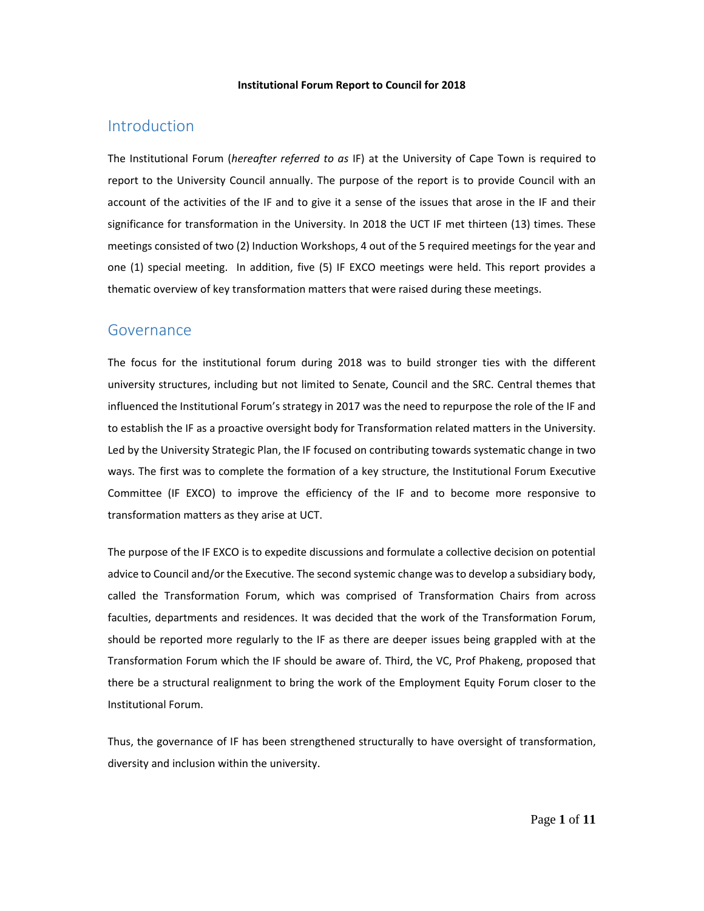#### **Institutional Forum Report to Council for 2018**

## Introduction

The Institutional Forum (*hereafter referred to as* IF) at the University of Cape Town is required to report to the University Council annually. The purpose of the report is to provide Council with an account of the activities of the IF and to give it a sense of the issues that arose in the IF and their significance for transformation in the University. In 2018 the UCT IF met thirteen (13) times. These meetings consisted of two (2) Induction Workshops, 4 out of the 5 required meetings for the year and one (1) special meeting. In addition, five (5) IF EXCO meetings were held. This report provides a thematic overview of key transformation matters that were raised during these meetings.

## Governance

The focus for the institutional forum during 2018 was to build stronger ties with the different university structures, including but not limited to Senate, Council and the SRC. Central themes that influenced the Institutional Forum's strategy in 2017 was the need to repurpose the role of the IF and to establish the IF as a proactive oversight body for Transformation related matters in the University. Led by the University Strategic Plan, the IF focused on contributing towards systematic change in two ways. The first was to complete the formation of a key structure, the Institutional Forum Executive Committee (IF EXCO) to improve the efficiency of the IF and to become more responsive to transformation matters as they arise at UCT.

The purpose of the IF EXCO is to expedite discussions and formulate a collective decision on potential advice to Council and/or the Executive. The second systemic change was to develop a subsidiary body, called the Transformation Forum, which was comprised of Transformation Chairs from across faculties, departments and residences. It was decided that the work of the Transformation Forum, should be reported more regularly to the IF as there are deeper issues being grappled with at the Transformation Forum which the IF should be aware of. Third, the VC, Prof Phakeng, proposed that there be a structural realignment to bring the work of the Employment Equity Forum closer to the Institutional Forum.

Thus, the governance of IF has been strengthened structurally to have oversight of transformation, diversity and inclusion within the university.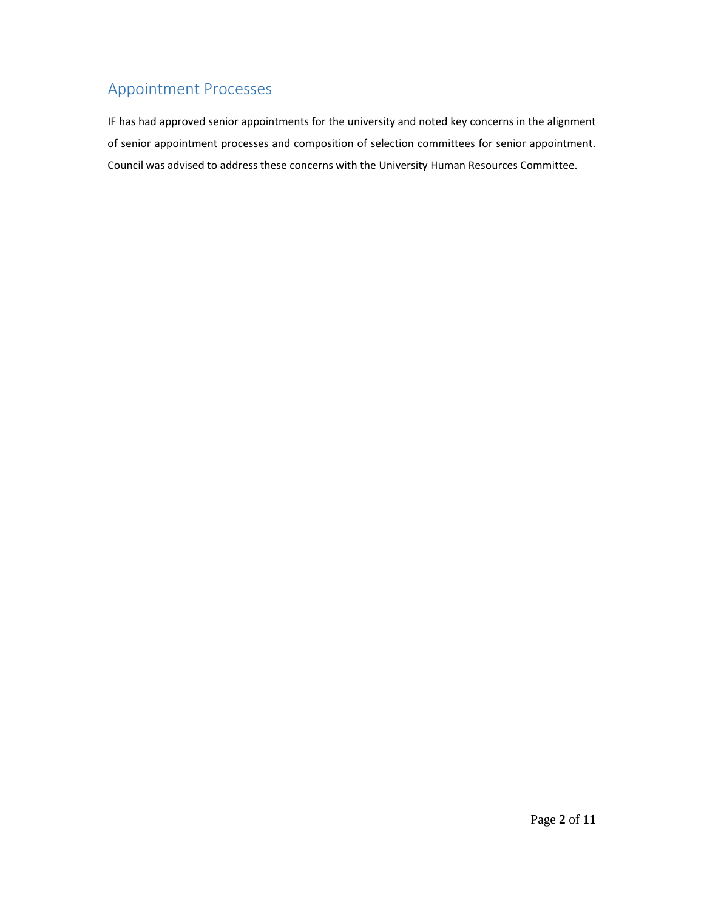# Appointment Processes

IF has had approved senior appointments for the university and noted key concerns in the alignment of senior appointment processes and composition of selection committees for senior appointment. Council was advised to address these concerns with the University Human Resources Committee.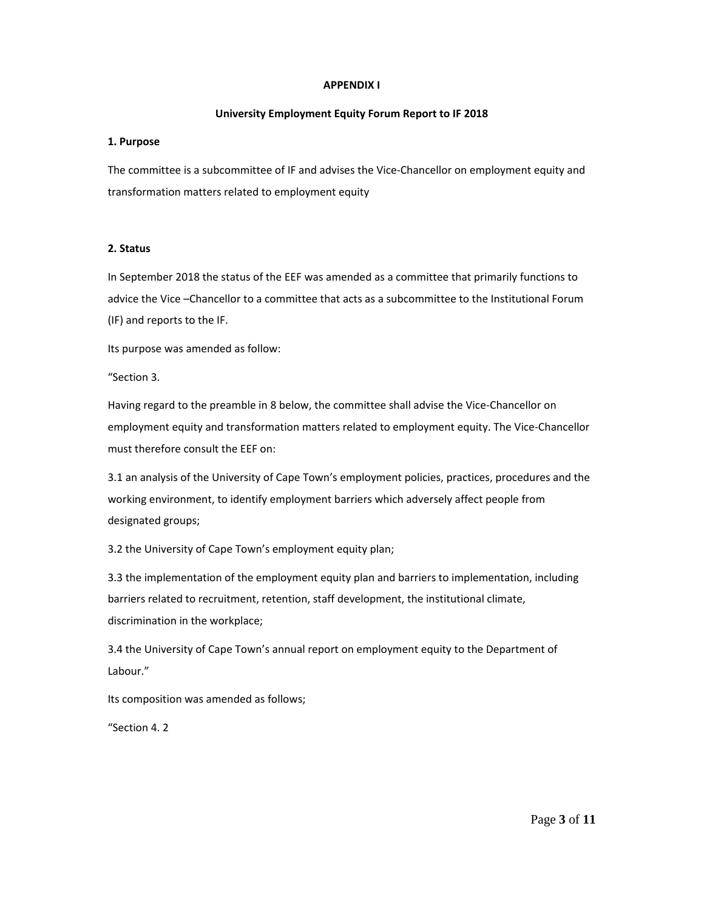#### **APPENDIX I**

### **University Employment Equity Forum Report to IF 2018**

## **1. Purpose**

The committee is a subcommittee of IF and advises the Vice-Chancellor on employment equity and transformation matters related to employment equity

## **2. Status**

In September 2018 the status of the EEF was amended as a committee that primarily functions to advice the Vice –Chancellor to a committee that acts as a subcommittee to the Institutional Forum (IF) and reports to the IF.

Its purpose was amended as follow:

"Section 3.

Having regard to the preamble in 8 below, the committee shall advise the Vice-Chancellor on employment equity and transformation matters related to employment equity. The Vice-Chancellor must therefore consult the EEF on:

3.1 an analysis of the University of Cape Town's employment policies, practices, procedures and the working environment, to identify employment barriers which adversely affect people from designated groups;

3.2 the University of Cape Town's employment equity plan;

3.3 the implementation of the employment equity plan and barriers to implementation, including barriers related to recruitment, retention, staff development, the institutional climate, discrimination in the workplace;

3.4 the University of Cape Town's annual report on employment equity to the Department of Labour."

Its composition was amended as follows;

"Section 4. 2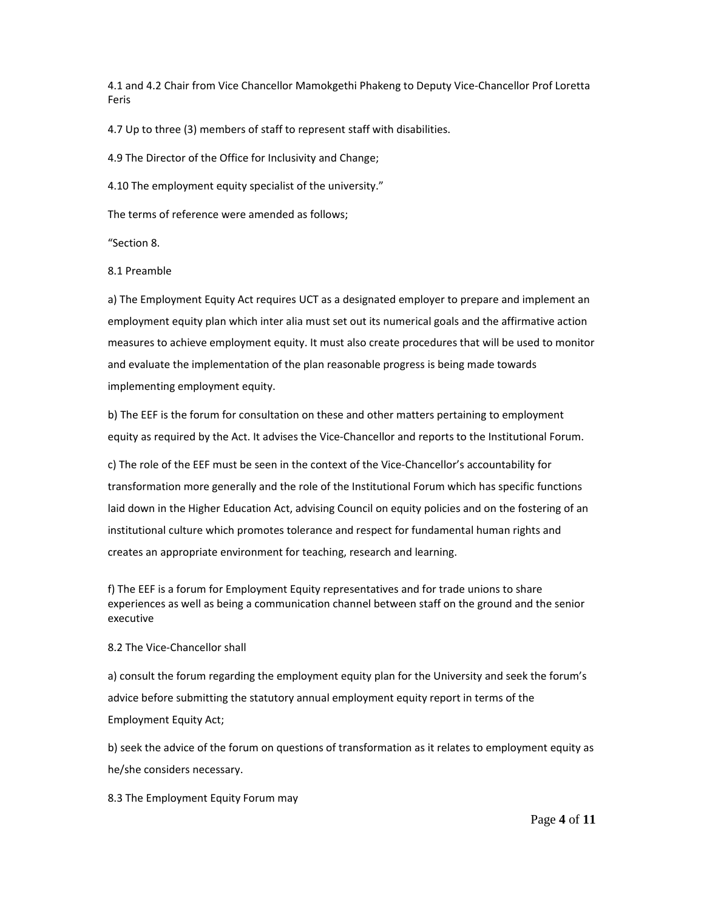4.1 and 4.2 Chair from Vice Chancellor Mamokgethi Phakeng to Deputy Vice-Chancellor Prof Loretta Feris

4.7 Up to three (3) members of staff to represent staff with disabilities.

4.9 The Director of the Office for Inclusivity and Change;

4.10 The employment equity specialist of the university."

The terms of reference were amended as follows;

"Section 8.

8.1 Preamble

a) The Employment Equity Act requires UCT as a designated employer to prepare and implement an employment equity plan which inter alia must set out its numerical goals and the affirmative action measures to achieve employment equity. It must also create procedures that will be used to monitor and evaluate the implementation of the plan reasonable progress is being made towards implementing employment equity.

b) The EEF is the forum for consultation on these and other matters pertaining to employment equity as required by the Act. It advises the Vice-Chancellor and reports to the Institutional Forum.

c) The role of the EEF must be seen in the context of the Vice-Chancellor's accountability for transformation more generally and the role of the Institutional Forum which has specific functions laid down in the Higher Education Act, advising Council on equity policies and on the fostering of an institutional culture which promotes tolerance and respect for fundamental human rights and creates an appropriate environment for teaching, research and learning.

f) The EEF is a forum for Employment Equity representatives and for trade unions to share experiences as well as being a communication channel between staff on the ground and the senior executive

8.2 The Vice-Chancellor shall

a) consult the forum regarding the employment equity plan for the University and seek the forum's advice before submitting the statutory annual employment equity report in terms of the Employment Equity Act;

b) seek the advice of the forum on questions of transformation as it relates to employment equity as he/she considers necessary.

8.3 The Employment Equity Forum may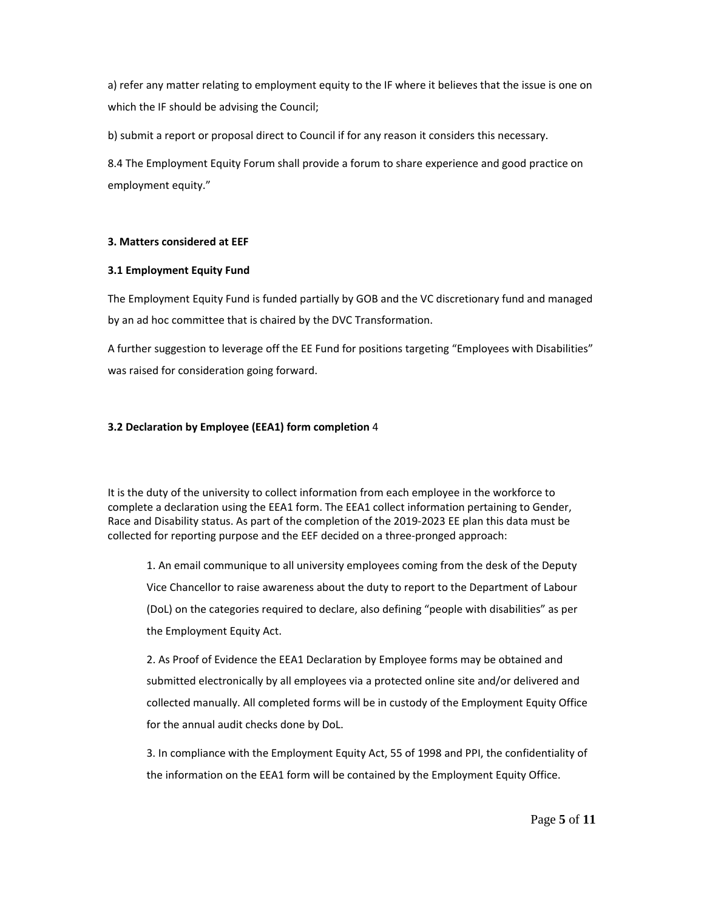a) refer any matter relating to employment equity to the IF where it believes that the issue is one on which the IF should be advising the Council;

b) submit a report or proposal direct to Council if for any reason it considers this necessary.

8.4 The Employment Equity Forum shall provide a forum to share experience and good practice on employment equity."

## **3. Matters considered at EEF**

### **3.1 Employment Equity Fund**

The Employment Equity Fund is funded partially by GOB and the VC discretionary fund and managed by an ad hoc committee that is chaired by the DVC Transformation.

A further suggestion to leverage off the EE Fund for positions targeting "Employees with Disabilities" was raised for consideration going forward.

## **3.2 Declaration by Employee (EEA1) form completion** 4

It is the duty of the university to collect information from each employee in the workforce to complete a declaration using the EEA1 form. The EEA1 collect information pertaining to Gender, Race and Disability status. As part of the completion of the 2019-2023 EE plan this data must be collected for reporting purpose and the EEF decided on a three-pronged approach:

1. An email communique to all university employees coming from the desk of the Deputy Vice Chancellor to raise awareness about the duty to report to the Department of Labour (DoL) on the categories required to declare, also defining "people with disabilities" as per the Employment Equity Act.

2. As Proof of Evidence the EEA1 Declaration by Employee forms may be obtained and submitted electronically by all employees via a protected online site and/or delivered and collected manually. All completed forms will be in custody of the Employment Equity Office for the annual audit checks done by DoL.

3. In compliance with the Employment Equity Act, 55 of 1998 and PPI, the confidentiality of the information on the EEA1 form will be contained by the Employment Equity Office.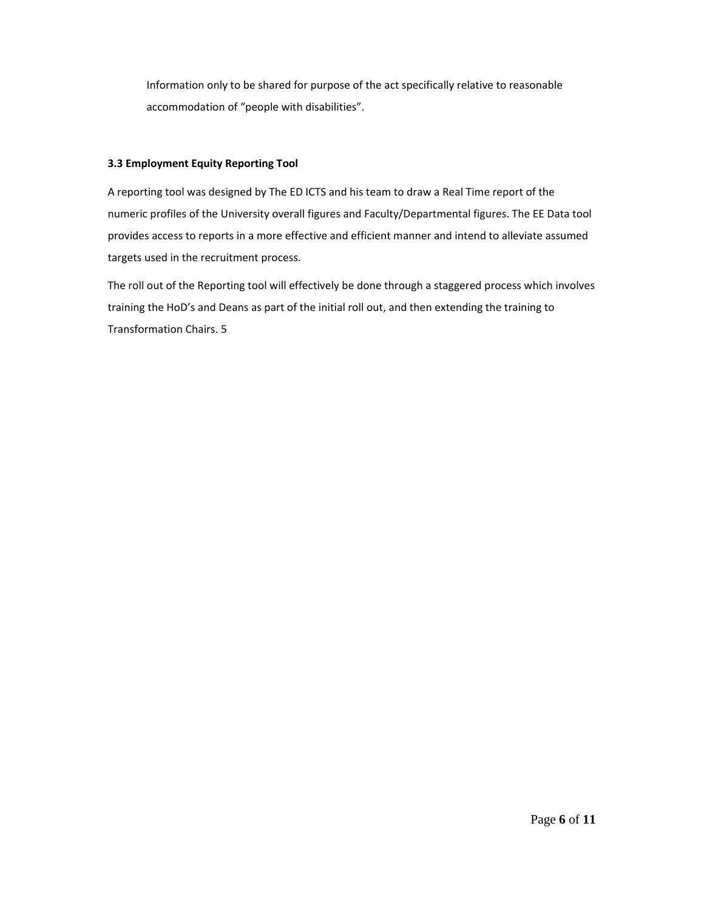Information only to be shared for purpose of the act specifically relative to reasonable accommodation of "people with disabilities".

## **3.3 Employment Equity Reporting Tool**

A reporting tool was designed by The ED ICTS and his team to draw a Real Time report of the numeric profiles of the University overall figures and Faculty/Departmental figures. The EE Data tool provides access to reports in a more effective and efficient manner and intend to alleviate assumed targets used in the recruitment process.

The roll out of the Reporting tool will effectively be done through a staggered process which involves training the HoD's and Deans as part of the initial roll out, and then extending the training to Transformation Chairs. 5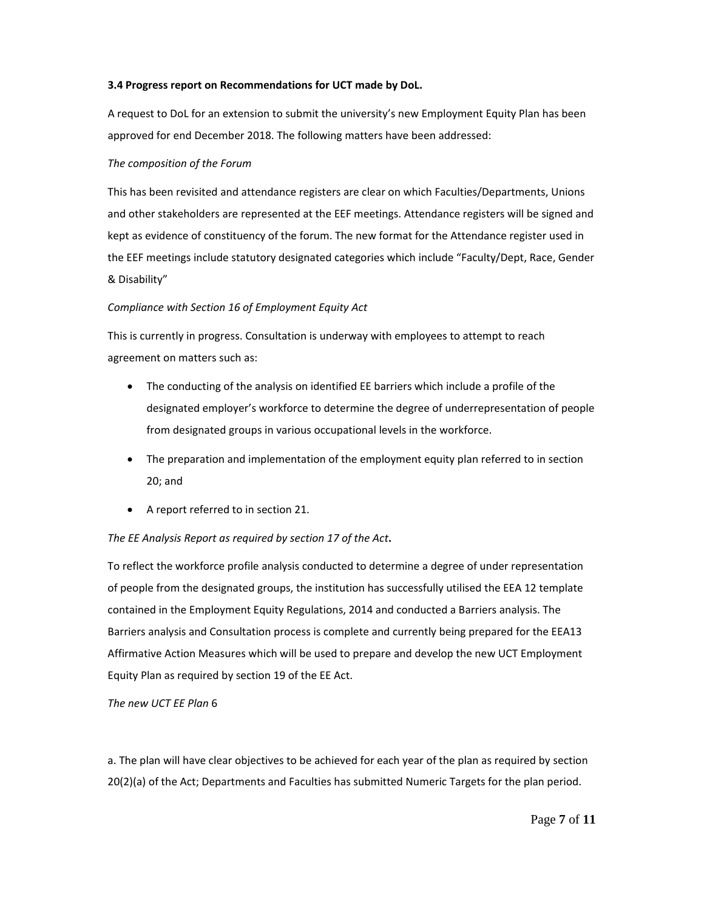#### **3.4 Progress report on Recommendations for UCT made by DoL.**

A request to DoL for an extension to submit the university's new Employment Equity Plan has been approved for end December 2018. The following matters have been addressed:

### *The composition of the Forum*

This has been revisited and attendance registers are clear on which Faculties/Departments, Unions and other stakeholders are represented at the EEF meetings. Attendance registers will be signed and kept as evidence of constituency of the forum. The new format for the Attendance register used in the EEF meetings include statutory designated categories which include "Faculty/Dept, Race, Gender & Disability"

## *Compliance with Section 16 of Employment Equity Act*

This is currently in progress. Consultation is underway with employees to attempt to reach agreement on matters such as:

- The conducting of the analysis on identified EE barriers which include a profile of the designated employer's workforce to determine the degree of underrepresentation of people from designated groups in various occupational levels in the workforce.
- The preparation and implementation of the employment equity plan referred to in section 20; and
- A report referred to in section 21.

## *The EE Analysis Report as required by section 17 of the Act***.**

To reflect the workforce profile analysis conducted to determine a degree of under representation of people from the designated groups, the institution has successfully utilised the EEA 12 template contained in the Employment Equity Regulations, 2014 and conducted a Barriers analysis. The Barriers analysis and Consultation process is complete and currently being prepared for the EEA13 Affirmative Action Measures which will be used to prepare and develop the new UCT Employment Equity Plan as required by section 19 of the EE Act.

### *The new UCT EE Plan* 6

a. The plan will have clear objectives to be achieved for each year of the plan as required by section 20(2)(a) of the Act; Departments and Faculties has submitted Numeric Targets for the plan period.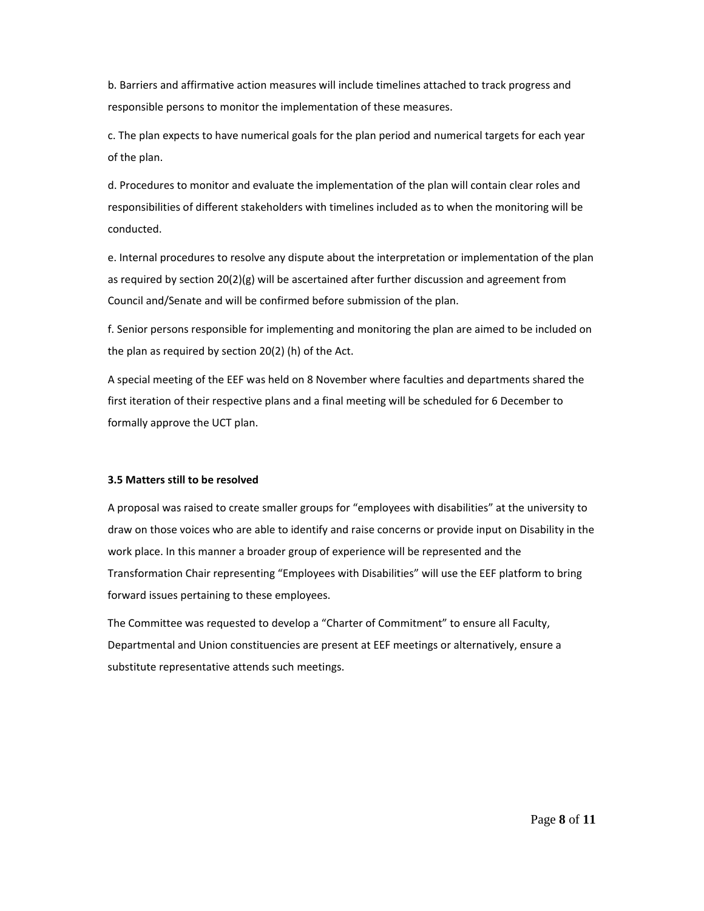b. Barriers and affirmative action measures will include timelines attached to track progress and responsible persons to monitor the implementation of these measures.

c. The plan expects to have numerical goals for the plan period and numerical targets for each year of the plan.

d. Procedures to monitor and evaluate the implementation of the plan will contain clear roles and responsibilities of different stakeholders with timelines included as to when the monitoring will be conducted.

e. Internal procedures to resolve any dispute about the interpretation or implementation of the plan as required by section 20(2)(g) will be ascertained after further discussion and agreement from Council and/Senate and will be confirmed before submission of the plan.

f. Senior persons responsible for implementing and monitoring the plan are aimed to be included on the plan as required by section 20(2) (h) of the Act.

A special meeting of the EEF was held on 8 November where faculties and departments shared the first iteration of their respective plans and a final meeting will be scheduled for 6 December to formally approve the UCT plan.

#### **3.5 Matters still to be resolved**

A proposal was raised to create smaller groups for "employees with disabilities" at the university to draw on those voices who are able to identify and raise concerns or provide input on Disability in the work place. In this manner a broader group of experience will be represented and the Transformation Chair representing "Employees with Disabilities" will use the EEF platform to bring forward issues pertaining to these employees.

The Committee was requested to develop a "Charter of Commitment" to ensure all Faculty, Departmental and Union constituencies are present at EEF meetings or alternatively, ensure a substitute representative attends such meetings.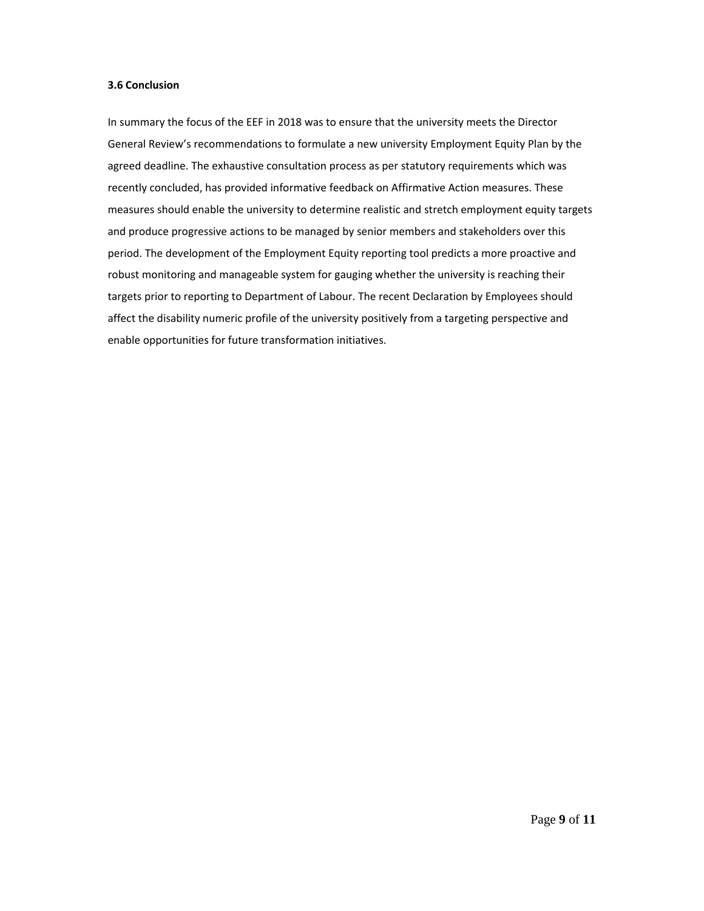#### **3.6 Conclusion**

In summary the focus of the EEF in 2018 was to ensure that the university meets the Director General Review's recommendations to formulate a new university Employment Equity Plan by the agreed deadline. The exhaustive consultation process as per statutory requirements which was recently concluded, has provided informative feedback on Affirmative Action measures. These measures should enable the university to determine realistic and stretch employment equity targets and produce progressive actions to be managed by senior members and stakeholders over this period. The development of the Employment Equity reporting tool predicts a more proactive and robust monitoring and manageable system for gauging whether the university is reaching their targets prior to reporting to Department of Labour. The recent Declaration by Employees should affect the disability numeric profile of the university positively from a targeting perspective and enable opportunities for future transformation initiatives.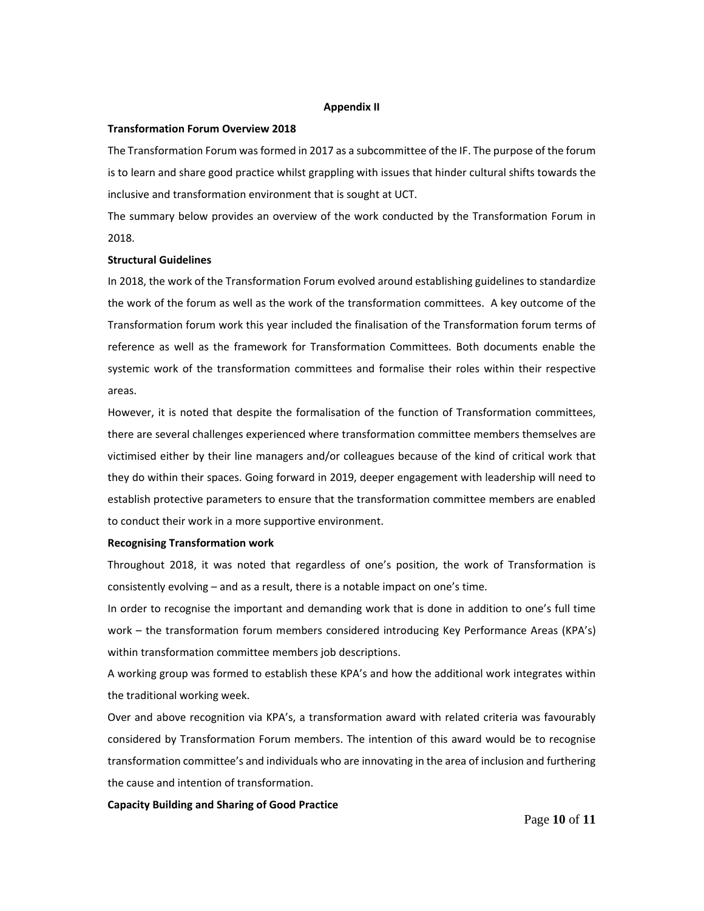#### **Appendix II**

#### **Transformation Forum Overview 2018**

The Transformation Forum was formed in 2017 as a subcommittee of the IF. The purpose of the forum is to learn and share good practice whilst grappling with issues that hinder cultural shifts towards the inclusive and transformation environment that is sought at UCT.

The summary below provides an overview of the work conducted by the Transformation Forum in 2018.

#### **Structural Guidelines**

In 2018, the work of the Transformation Forum evolved around establishing guidelines to standardize the work of the forum as well as the work of the transformation committees. A key outcome of the Transformation forum work this year included the finalisation of the Transformation forum terms of reference as well as the framework for Transformation Committees. Both documents enable the systemic work of the transformation committees and formalise their roles within their respective areas.

However, it is noted that despite the formalisation of the function of Transformation committees, there are several challenges experienced where transformation committee members themselves are victimised either by their line managers and/or colleagues because of the kind of critical work that they do within their spaces. Going forward in 2019, deeper engagement with leadership will need to establish protective parameters to ensure that the transformation committee members are enabled to conduct their work in a more supportive environment.

#### **Recognising Transformation work**

Throughout 2018, it was noted that regardless of one's position, the work of Transformation is consistently evolving – and as a result, there is a notable impact on one's time.

In order to recognise the important and demanding work that is done in addition to one's full time work – the transformation forum members considered introducing Key Performance Areas (KPA's) within transformation committee members job descriptions.

A working group was formed to establish these KPA's and how the additional work integrates within the traditional working week.

Over and above recognition via KPA's, a transformation award with related criteria was favourably considered by Transformation Forum members. The intention of this award would be to recognise transformation committee's and individuals who are innovating in the area of inclusion and furthering the cause and intention of transformation.

#### **Capacity Building and Sharing of Good Practice**